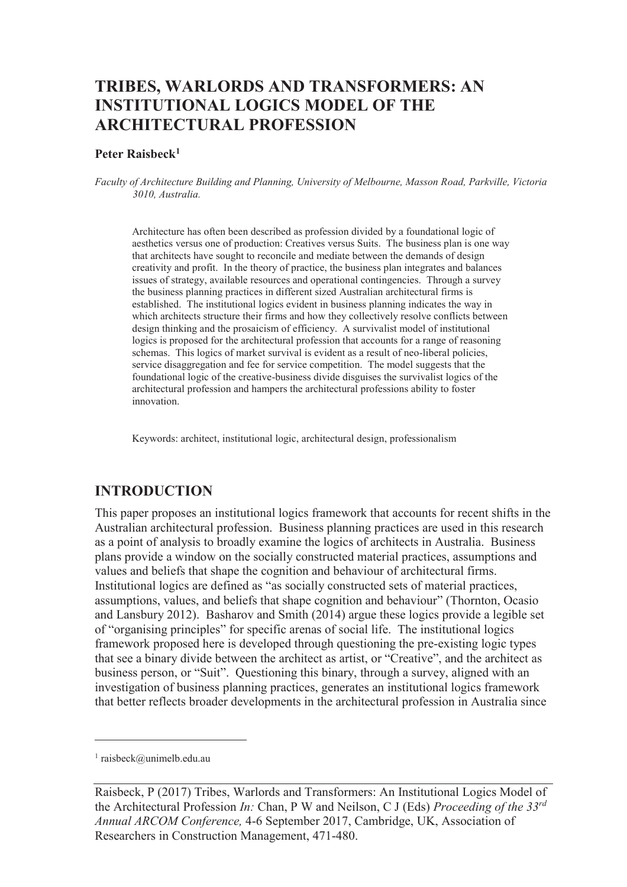# **TRIBES, WARLORDS AND TRANSFORMERS: AN INSTITUTIONAL LOGICS MODEL OF THE ARCHITECTURAL PROFESSION**

#### **Peter Raisbeck<sup>1</sup>**

*Faculty of Architecture Building and Planning, University of Melbourne, Masson Road, Parkville, Victoria 3010, Australia.* 

Architecture has often been described as profession divided by a foundational logic of aesthetics versus one of production: Creatives versus Suits. The business plan is one way that architects have sought to reconcile and mediate between the demands of design creativity and profit. In the theory of practice, the business plan integrates and balances issues of strategy, available resources and operational contingencies. Through a survey the business planning practices in different sized Australian architectural firms is established. The institutional logics evident in business planning indicates the way in which architects structure their firms and how they collectively resolve conflicts between design thinking and the prosaicism of efficiency. A survivalist model of institutional logics is proposed for the architectural profession that accounts for a range of reasoning schemas. This logics of market survival is evident as a result of neo-liberal policies, service disaggregation and fee for service competition. The model suggests that the foundational logic of the creative-business divide disguises the survivalist logics of the architectural profession and hampers the architectural professions ability to foster innovation.

Keywords: architect, institutional logic, architectural design, professionalism

#### **INTRODUCTION**

This paper proposes an institutional logics framework that accounts for recent shifts in the Australian architectural profession. Business planning practices are used in this research as a point of analysis to broadly examine the logics of architects in Australia. Business plans provide a window on the socially constructed material practices, assumptions and values and beliefs that shape the cognition and behaviour of architectural firms. Institutional logics are defined as "as socially constructed sets of material practices, assumptions, values, and beliefs that shape cognition and behaviour" (Thornton, Ocasio and Lansbury 2012). Basharov and Smith (2014) argue these logics provide a legible set of "organising principles" for specific arenas of social life. The institutional logics framework proposed here is developed through questioning the pre-existing logic types that see a binary divide between the architect as artist, or "Creative", and the architect as business person, or "Suit". Questioning this binary, through a survey, aligned with an investigation of business planning practices, generates an institutional logics framework that better reflects broader developments in the architectural profession in Australia since

-

<sup>1</sup> raisbeck@unimelb.edu.au

Raisbeck, P (2017) Tribes, Warlords and Transformers: An Institutional Logics Model of the Architectural Profession *In:* Chan, P W and Neilson, C J (Eds) *Proceeding of the 33rd Annual ARCOM Conference,* 4-6 September 2017, Cambridge, UK, Association of Researchers in Construction Management, 471-480.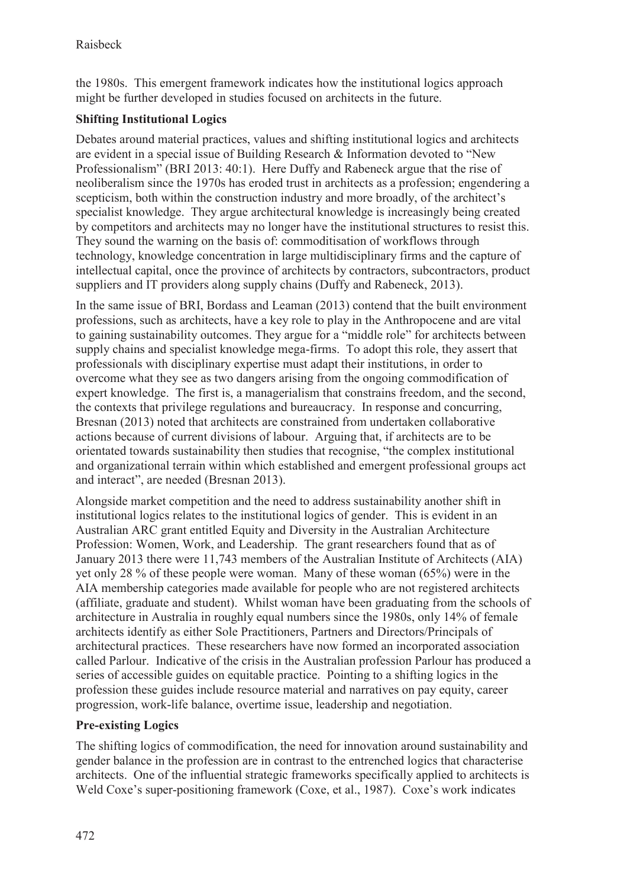the 1980s. This emergent framework indicates how the institutional logics approach might be further developed in studies focused on architects in the future.

### **Shifting Institutional Logics**

Debates around material practices, values and shifting institutional logics and architects are evident in a special issue of Building Research & Information devoted to "New Professionalism" (BRI 2013: 40:1). Here Duffy and Rabeneck argue that the rise of neoliberalism since the 1970s has eroded trust in architects as a profession; engendering a scepticism, both within the construction industry and more broadly, of the architect's specialist knowledge. They argue architectural knowledge is increasingly being created by competitors and architects may no longer have the institutional structures to resist this. They sound the warning on the basis of: commoditisation of workflows through technology, knowledge concentration in large multidisciplinary firms and the capture of intellectual capital, once the province of architects by contractors, subcontractors, product suppliers and IT providers along supply chains (Duffy and Rabeneck, 2013).

In the same issue of BRI, Bordass and Leaman (2013) contend that the built environment professions, such as architects, have a key role to play in the Anthropocene and are vital to gaining sustainability outcomes. They argue for a "middle role" for architects between supply chains and specialist knowledge mega-firms. To adopt this role, they assert that professionals with disciplinary expertise must adapt their institutions, in order to overcome what they see as two dangers arising from the ongoing commodification of expert knowledge. The first is, a managerialism that constrains freedom, and the second, the contexts that privilege regulations and bureaucracy. In response and concurring, Bresnan (2013) noted that architects are constrained from undertaken collaborative actions because of current divisions of labour. Arguing that, if architects are to be orientated towards sustainability then studies that recognise, "the complex institutional and organizational terrain within which established and emergent professional groups act and interact", are needed (Bresnan 2013).

Alongside market competition and the need to address sustainability another shift in institutional logics relates to the institutional logics of gender. This is evident in an Australian ARC grant entitled Equity and Diversity in the Australian Architecture Profession: Women, Work, and Leadership. The grant researchers found that as of January 2013 there were 11,743 members of the Australian Institute of Architects (AIA) yet only 28 % of these people were woman. Many of these woman (65%) were in the AIA membership categories made available for people who are not registered architects (affiliate, graduate and student). Whilst woman have been graduating from the schools of architecture in Australia in roughly equal numbers since the 1980s, only 14% of female architects identify as either Sole Practitioners, Partners and Directors/Principals of architectural practices. These researchers have now formed an incorporated association called Parlour. Indicative of the crisis in the Australian profession Parlour has produced a series of accessible guides on equitable practice. Pointing to a shifting logics in the profession these guides include resource material and narratives on pay equity, career progression, work-life balance, overtime issue, leadership and negotiation.

### **Pre-existing Logics**

The shifting logics of commodification, the need for innovation around sustainability and gender balance in the profession are in contrast to the entrenched logics that characterise architects. One of the influential strategic frameworks specifically applied to architects is Weld Coxe's super-positioning framework (Coxe, et al., 1987). Coxe's work indicates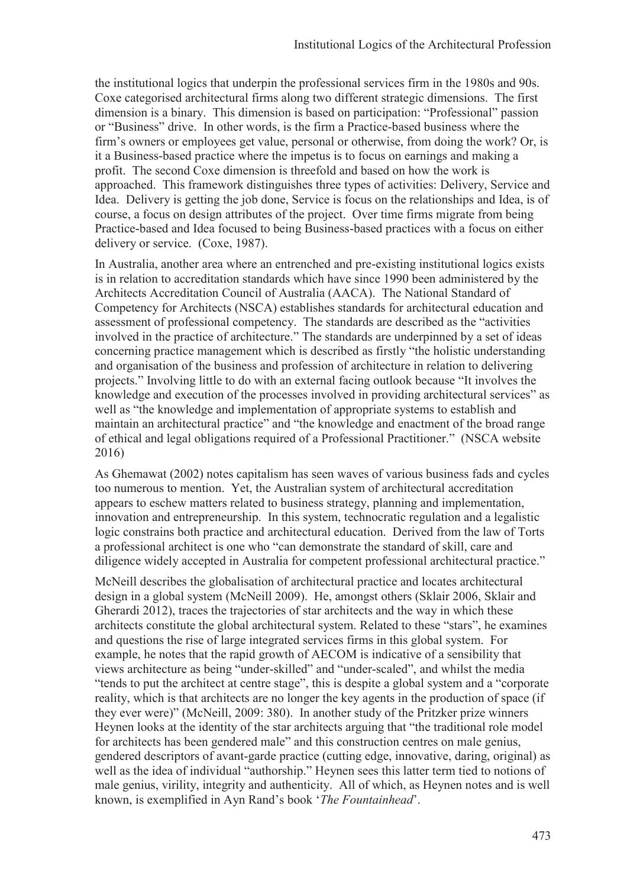the institutional logics that underpin the professional services firm in the 1980s and 90s. Coxe categorised architectural firms along two different strategic dimensions. The first dimension is a binary. This dimension is based on participation: "Professional" passion or "Business" drive. In other words, is the firm a Practice-based business where the firm's owners or employees get value, personal or otherwise, from doing the work? Or, is it a Business-based practice where the impetus is to focus on earnings and making a profit. The second Coxe dimension is threefold and based on how the work is approached. This framework distinguishes three types of activities: Delivery, Service and Idea. Delivery is getting the job done, Service is focus on the relationships and Idea, is of course, a focus on design attributes of the project. Over time firms migrate from being Practice-based and Idea focused to being Business-based practices with a focus on either delivery or service. (Coxe, 1987).

In Australia, another area where an entrenched and pre-existing institutional logics exists is in relation to accreditation standards which have since 1990 been administered by the Architects Accreditation Council of Australia (AACA). The National Standard of Competency for Architects (NSCA) establishes standards for architectural education and assessment of professional competency. The standards are described as the "activities involved in the practice of architecture." The standards are underpinned by a set of ideas concerning practice management which is described as firstly "the holistic understanding and organisation of the business and profession of architecture in relation to delivering projects." Involving little to do with an external facing outlook because "It involves the knowledge and execution of the processes involved in providing architectural services" as well as "the knowledge and implementation of appropriate systems to establish and maintain an architectural practice" and "the knowledge and enactment of the broad range of ethical and legal obligations required of a Professional Practitioner." (NSCA website 2016)

As Ghemawat (2002) notes capitalism has seen waves of various business fads and cycles too numerous to mention. Yet, the Australian system of architectural accreditation appears to eschew matters related to business strategy, planning and implementation, innovation and entrepreneurship. In this system, technocratic regulation and a legalistic logic constrains both practice and architectural education. Derived from the law of Torts a professional architect is one who "can demonstrate the standard of skill, care and diligence widely accepted in Australia for competent professional architectural practice."

McNeill describes the globalisation of architectural practice and locates architectural design in a global system (McNeill 2009). He, amongst others (Sklair 2006, Sklair and Gherardi 2012), traces the trajectories of star architects and the way in which these architects constitute the global architectural system. Related to these "stars", he examines and questions the rise of large integrated services firms in this global system. For example, he notes that the rapid growth of AECOM is indicative of a sensibility that views architecture as being "under-skilled" and "under-scaled", and whilst the media "tends to put the architect at centre stage", this is despite a global system and a "corporate reality, which is that architects are no longer the key agents in the production of space (if they ever were)" (McNeill, 2009: 380). In another study of the Pritzker prize winners Heynen looks at the identity of the star architects arguing that "the traditional role model for architects has been gendered male" and this construction centres on male genius, gendered descriptors of avant-garde practice (cutting edge, innovative, daring, original) as well as the idea of individual "authorship." Heynen sees this latter term tied to notions of male genius, virility, integrity and authenticity. All of which, as Heynen notes and is well known, is exemplified in Ayn Rand's book '*The Fountainhead*'.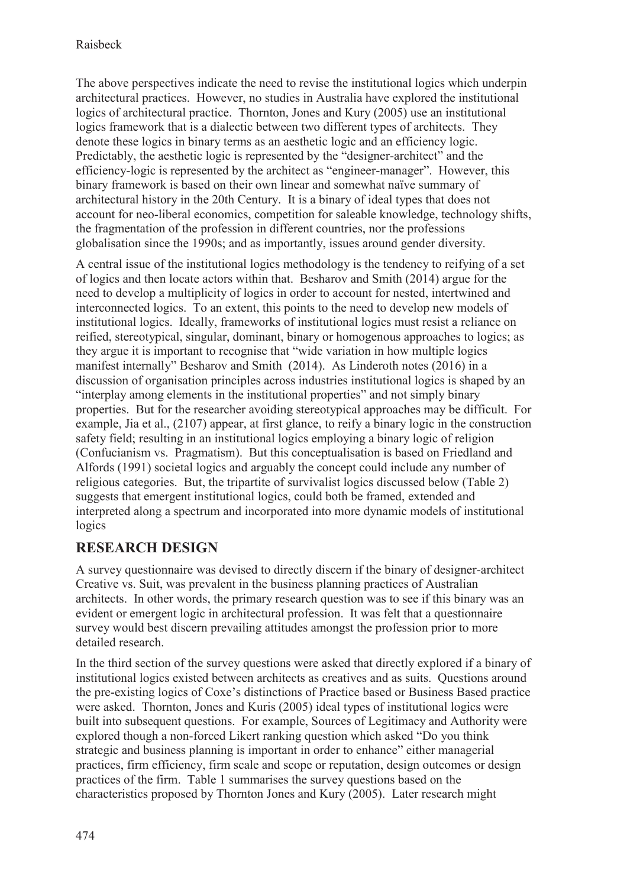The above perspectives indicate the need to revise the institutional logics which underpin architectural practices. However, no studies in Australia have explored the institutional logics of architectural practice. Thornton, Jones and Kury (2005) use an institutional logics framework that is a dialectic between two different types of architects. They denote these logics in binary terms as an aesthetic logic and an efficiency logic. Predictably, the aesthetic logic is represented by the "designer-architect" and the efficiency-logic is represented by the architect as "engineer-manager". However, this binary framework is based on their own linear and somewhat naïve summary of architectural history in the 20th Century. It is a binary of ideal types that does not account for neo-liberal economics, competition for saleable knowledge, technology shifts, the fragmentation of the profession in different countries, nor the professions globalisation since the 1990s; and as importantly, issues around gender diversity.

A central issue of the institutional logics methodology is the tendency to reifying of a set of logics and then locate actors within that. Besharov and Smith (2014) argue for the need to develop a multiplicity of logics in order to account for nested, intertwined and interconnected logics. To an extent, this points to the need to develop new models of institutional logics. Ideally, frameworks of institutional logics must resist a reliance on reified, stereotypical, singular, dominant, binary or homogenous approaches to logics; as they argue it is important to recognise that "wide variation in how multiple logics manifest internally" Besharov and Smith (2014). As Linderoth notes (2016) in a discussion of organisation principles across industries institutional logics is shaped by an "interplay among elements in the institutional properties" and not simply binary properties. But for the researcher avoiding stereotypical approaches may be difficult. For example, Jia et al., (2107) appear, at first glance, to reify a binary logic in the construction safety field; resulting in an institutional logics employing a binary logic of religion (Confucianism vs. Pragmatism). But this conceptualisation is based on Friedland and Alfords (1991) societal logics and arguably the concept could include any number of religious categories. But, the tripartite of survivalist logics discussed below (Table 2) suggests that emergent institutional logics, could both be framed, extended and interpreted along a spectrum and incorporated into more dynamic models of institutional logics

## **RESEARCH DESIGN**

A survey questionnaire was devised to directly discern if the binary of designer-architect Creative vs. Suit, was prevalent in the business planning practices of Australian architects. In other words, the primary research question was to see if this binary was an evident or emergent logic in architectural profession. It was felt that a questionnaire survey would best discern prevailing attitudes amongst the profession prior to more detailed research.

In the third section of the survey questions were asked that directly explored if a binary of institutional logics existed between architects as creatives and as suits. Questions around the pre-existing logics of Coxe's distinctions of Practice based or Business Based practice were asked. Thornton, Jones and Kuris (2005) ideal types of institutional logics were built into subsequent questions. For example, Sources of Legitimacy and Authority were explored though a non-forced Likert ranking question which asked "Do you think strategic and business planning is important in order to enhance" either managerial practices, firm efficiency, firm scale and scope or reputation, design outcomes or design practices of the firm. Table 1 summarises the survey questions based on the characteristics proposed by Thornton Jones and Kury (2005). Later research might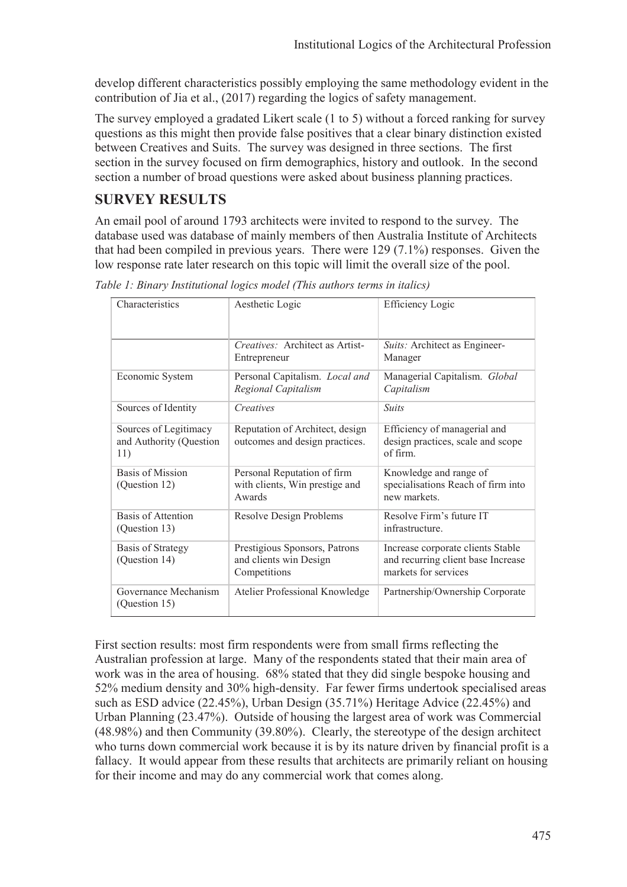develop different characteristics possibly employing the same methodology evident in the contribution of Jia et al., (2017) regarding the logics of safety management.

The survey employed a gradated Likert scale (1 to 5) without a forced ranking for survey questions as this might then provide false positives that a clear binary distinction existed between Creatives and Suits. The survey was designed in three sections. The first section in the survey focused on firm demographics, history and outlook. In the second section a number of broad questions were asked about business planning practices.

## **SURVEY RESULTS**

An email pool of around 1793 architects were invited to respond to the survey. The database used was database of mainly members of then Australia Institute of Architects that had been compiled in previous years. There were 129 (7.1%) responses. Given the low response rate later research on this topic will limit the overall size of the pool.

| Characteristics                                         | Aesthetic Logic                                                         | Efficiency Logic                                                                                |  |
|---------------------------------------------------------|-------------------------------------------------------------------------|-------------------------------------------------------------------------------------------------|--|
|                                                         | Creatives: Architect as Artist-<br>Entrepreneur                         | Suits: Architect as Engineer-<br>Manager                                                        |  |
| Economic System                                         | Personal Capitalism. Local and<br>Regional Capitalism                   | Managerial Capitalism. Global<br>Capitalism                                                     |  |
| Sources of Identity                                     | Creatives                                                               | <b>Suits</b>                                                                                    |  |
| Sources of Legitimacy<br>and Authority (Question<br>11) | Reputation of Architect, design<br>outcomes and design practices.       | Efficiency of managerial and<br>design practices, scale and scope<br>of firm                    |  |
| Basis of Mission<br>(Question 12)                       | Personal Reputation of firm<br>with clients, Win prestige and<br>Awards | Knowledge and range of<br>specialisations Reach of firm into<br>new markets.                    |  |
| <b>Basis of Attention</b><br>(Question 13)              | Resolve Design Problems                                                 | Resolve Firm's future IT<br>infrastructure.                                                     |  |
| Basis of Strategy<br>(Question 14)                      | Prestigious Sponsors, Patrons<br>and clients win Design<br>Competitions | Increase corporate clients Stable<br>and recurring client base Increase<br>markets for services |  |
| Governance Mechanism<br>(Question 15)                   | Atelier Professional Knowledge                                          | Partnership/Ownership Corporate                                                                 |  |

*Table 1: Binary Institutional logics model (This authors terms in italics)* 

First section results: most firm respondents were from small firms reflecting the Australian profession at large. Many of the respondents stated that their main area of work was in the area of housing. 68% stated that they did single bespoke housing and 52% medium density and 30% high-density. Far fewer firms undertook specialised areas such as ESD advice (22.45%), Urban Design (35.71%) Heritage Advice (22.45%) and Urban Planning (23.47%). Outside of housing the largest area of work was Commercial (48.98%) and then Community (39.80%). Clearly, the stereotype of the design architect who turns down commercial work because it is by its nature driven by financial profit is a fallacy. It would appear from these results that architects are primarily reliant on housing for their income and may do any commercial work that comes along.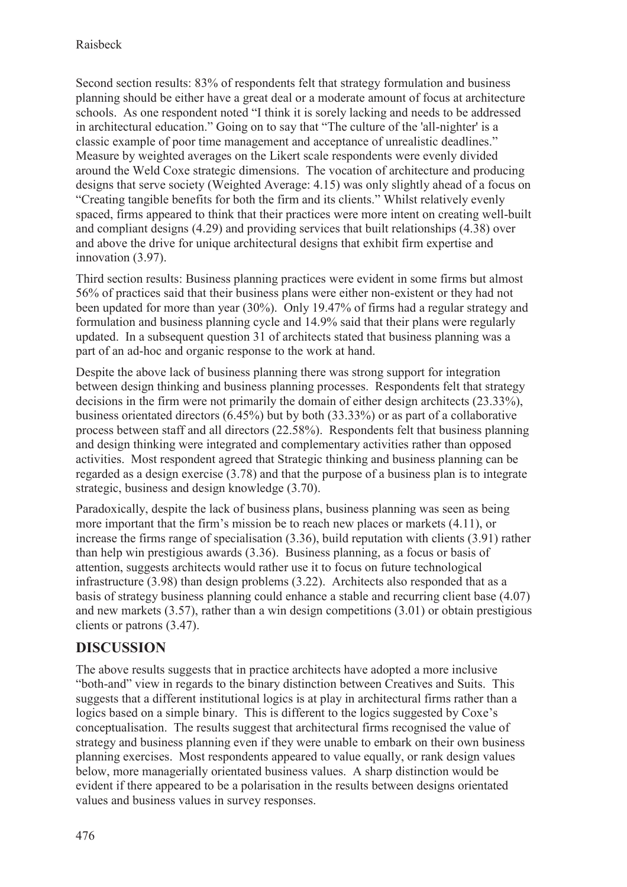Second section results: 83% of respondents felt that strategy formulation and business planning should be either have a great deal or a moderate amount of focus at architecture schools. As one respondent noted "I think it is sorely lacking and needs to be addressed in architectural education." Going on to say that "The culture of the 'all-nighter' is a classic example of poor time management and acceptance of unrealistic deadlines." Measure by weighted averages on the Likert scale respondents were evenly divided around the Weld Coxe strategic dimensions. The vocation of architecture and producing designs that serve society (Weighted Average: 4.15) was only slightly ahead of a focus on "Creating tangible benefits for both the firm and its clients." Whilst relatively evenly spaced, firms appeared to think that their practices were more intent on creating well-built and compliant designs (4.29) and providing services that built relationships (4.38) over and above the drive for unique architectural designs that exhibit firm expertise and innovation (3.97).

Third section results: Business planning practices were evident in some firms but almost 56% of practices said that their business plans were either non-existent or they had not been updated for more than year (30%). Only 19.47% of firms had a regular strategy and formulation and business planning cycle and 14.9% said that their plans were regularly updated. In a subsequent question 31 of architects stated that business planning was a part of an ad-hoc and organic response to the work at hand.

Despite the above lack of business planning there was strong support for integration between design thinking and business planning processes. Respondents felt that strategy decisions in the firm were not primarily the domain of either design architects (23.33%), business orientated directors (6.45%) but by both (33.33%) or as part of a collaborative process between staff and all directors (22.58%). Respondents felt that business planning and design thinking were integrated and complementary activities rather than opposed activities. Most respondent agreed that Strategic thinking and business planning can be regarded as a design exercise (3.78) and that the purpose of a business plan is to integrate strategic, business and design knowledge (3.70).

Paradoxically, despite the lack of business plans, business planning was seen as being more important that the firm's mission be to reach new places or markets (4.11), or increase the firms range of specialisation (3.36), build reputation with clients (3.91) rather than help win prestigious awards (3.36). Business planning, as a focus or basis of attention, suggests architects would rather use it to focus on future technological infrastructure (3.98) than design problems (3.22). Architects also responded that as a basis of strategy business planning could enhance a stable and recurring client base (4.07) and new markets (3.57), rather than a win design competitions (3.01) or obtain prestigious clients or patrons (3.47).

# **DISCUSSION**

The above results suggests that in practice architects have adopted a more inclusive "both-and" view in regards to the binary distinction between Creatives and Suits. This suggests that a different institutional logics is at play in architectural firms rather than a logics based on a simple binary. This is different to the logics suggested by Coxe's conceptualisation. The results suggest that architectural firms recognised the value of strategy and business planning even if they were unable to embark on their own business planning exercises. Most respondents appeared to value equally, or rank design values below, more managerially orientated business values. A sharp distinction would be evident if there appeared to be a polarisation in the results between designs orientated values and business values in survey responses.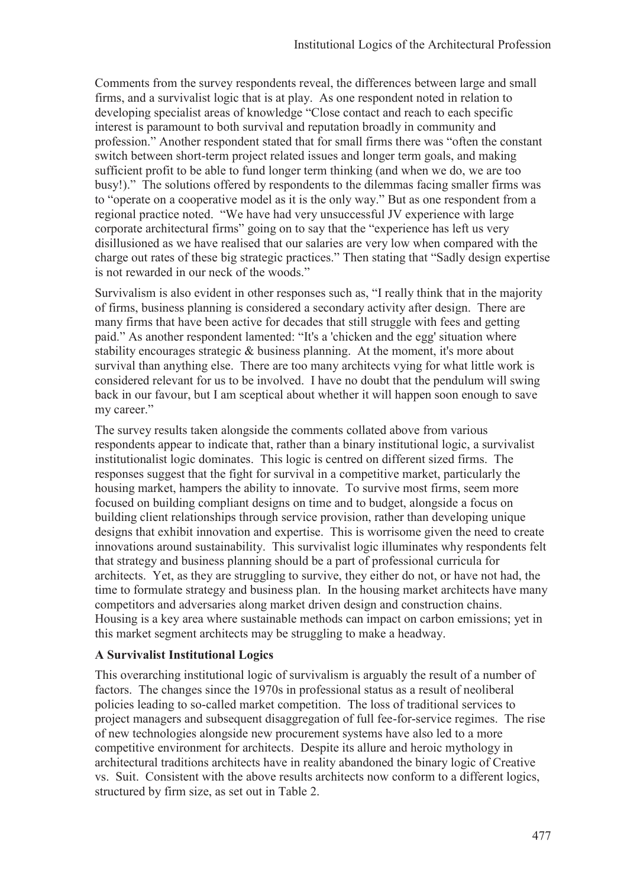Comments from the survey respondents reveal, the differences between large and small firms, and a survivalist logic that is at play. As one respondent noted in relation to developing specialist areas of knowledge "Close contact and reach to each specific interest is paramount to both survival and reputation broadly in community and profession." Another respondent stated that for small firms there was "often the constant switch between short-term project related issues and longer term goals, and making sufficient profit to be able to fund longer term thinking (and when we do, we are too busy!)." The solutions offered by respondents to the dilemmas facing smaller firms was to "operate on a cooperative model as it is the only way." But as one respondent from a regional practice noted. "We have had very unsuccessful JV experience with large corporate architectural firms" going on to say that the "experience has left us very disillusioned as we have realised that our salaries are very low when compared with the charge out rates of these big strategic practices." Then stating that "Sadly design expertise is not rewarded in our neck of the woods."

Survivalism is also evident in other responses such as, "I really think that in the majority of firms, business planning is considered a secondary activity after design. There are many firms that have been active for decades that still struggle with fees and getting paid." As another respondent lamented: "It's a 'chicken and the egg' situation where stability encourages strategic & business planning. At the moment, it's more about survival than anything else. There are too many architects vying for what little work is considered relevant for us to be involved. I have no doubt that the pendulum will swing back in our favour, but I am sceptical about whether it will happen soon enough to save my career."

The survey results taken alongside the comments collated above from various respondents appear to indicate that, rather than a binary institutional logic, a survivalist institutionalist logic dominates. This logic is centred on different sized firms. The responses suggest that the fight for survival in a competitive market, particularly the housing market, hampers the ability to innovate. To survive most firms, seem more focused on building compliant designs on time and to budget, alongside a focus on building client relationships through service provision, rather than developing unique designs that exhibit innovation and expertise. This is worrisome given the need to create innovations around sustainability. This survivalist logic illuminates why respondents felt that strategy and business planning should be a part of professional curricula for architects. Yet, as they are struggling to survive, they either do not, or have not had, the time to formulate strategy and business plan. In the housing market architects have many competitors and adversaries along market driven design and construction chains. Housing is a key area where sustainable methods can impact on carbon emissions; yet in this market segment architects may be struggling to make a headway.

#### **A Survivalist Institutional Logics**

This overarching institutional logic of survivalism is arguably the result of a number of factors. The changes since the 1970s in professional status as a result of neoliberal policies leading to so-called market competition. The loss of traditional services to project managers and subsequent disaggregation of full fee-for-service regimes. The rise of new technologies alongside new procurement systems have also led to a more competitive environment for architects. Despite its allure and heroic mythology in architectural traditions architects have in reality abandoned the binary logic of Creative vs. Suit. Consistent with the above results architects now conform to a different logics, structured by firm size, as set out in Table 2.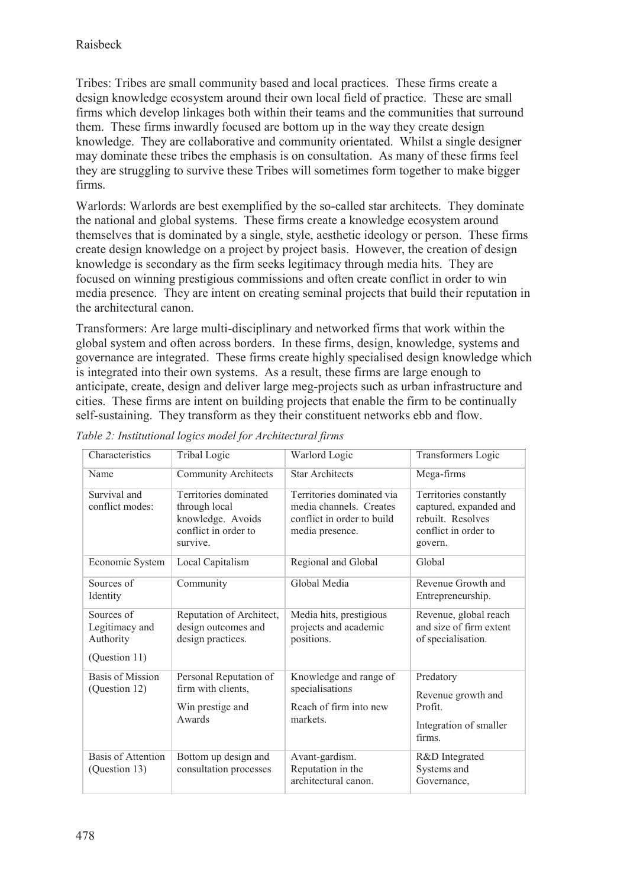Tribes: Tribes are small community based and local practices. These firms create a design knowledge ecosystem around their own local field of practice. These are small firms which develop linkages both within their teams and the communities that surround them. These firms inwardly focused are bottom up in the way they create design knowledge. They are collaborative and community orientated. Whilst a single designer may dominate these tribes the emphasis is on consultation. As many of these firms feel they are struggling to survive these Tribes will sometimes form together to make bigger firms.

Warlords: Warlords are best exemplified by the so-called star architects. They dominate the national and global systems. These firms create a knowledge ecosystem around themselves that is dominated by a single, style, aesthetic ideology or person. These firms create design knowledge on a project by project basis. However, the creation of design knowledge is secondary as the firm seeks legitimacy through media hits. They are focused on winning prestigious commissions and often create conflict in order to win media presence. They are intent on creating seminal projects that build their reputation in the architectural canon.

Transformers: Are large multi-disciplinary and networked firms that work within the global system and often across borders. In these firms, design, knowledge, systems and governance are integrated. These firms create highly specialised design knowledge which is integrated into their own systems. As a result, these firms are large enough to anticipate, create, design and deliver large meg-projects such as urban infrastructure and cities. These firms are intent on building projects that enable the firm to be continually self-sustaining. They transform as they their constituent networks ebb and flow.

| Characteristics                                            | Tribal Logic                                                                                    | Warlord Logic                                                                                         | Transformers Logic                                                                                       |
|------------------------------------------------------------|-------------------------------------------------------------------------------------------------|-------------------------------------------------------------------------------------------------------|----------------------------------------------------------------------------------------------------------|
| Name                                                       | <b>Community Architects</b>                                                                     | <b>Star Architects</b>                                                                                | Mega-firms                                                                                               |
| Survival and<br>conflict modes:                            | Territories dominated<br>through local<br>knowledge. Avoids<br>conflict in order to<br>survive. | Territories dominated via<br>media channels. Creates<br>conflict in order to build<br>media presence. | Territories constantly<br>captured, expanded and<br>rebuilt. Resolves<br>conflict in order to<br>govern. |
| Economic System                                            | Local Capitalism                                                                                | Regional and Global                                                                                   | Global                                                                                                   |
| Sources of<br>Identity                                     | Community                                                                                       | Global Media                                                                                          | Revenue Growth and<br>Entrepreneurship.                                                                  |
| Sources of<br>Legitimacy and<br>Authority<br>(Question 11) | Reputation of Architect,<br>design outcomes and<br>design practices.                            | Media hits, prestigious<br>projects and academic<br>positions.                                        | Revenue, global reach<br>and size of firm extent<br>of specialisation.                                   |
| Basis of Mission<br>(Question 12)                          | Personal Reputation of<br>firm with clients,<br>Win prestige and<br>Awards                      | Knowledge and range of<br>specialisations<br>Reach of firm into new<br>markets.                       | Predatory<br>Revenue growth and<br>Profit.<br>Integration of smaller<br>firms.                           |
| Basis of Attention<br>(Question 13)                        | Bottom up design and<br>consultation processes                                                  | Avant-gardism.<br>Reputation in the<br>architectural canon.                                           | R&D Integrated<br>Systems and<br>Governance,                                                             |

*Table 2: Institutional logics model for Architectural firms*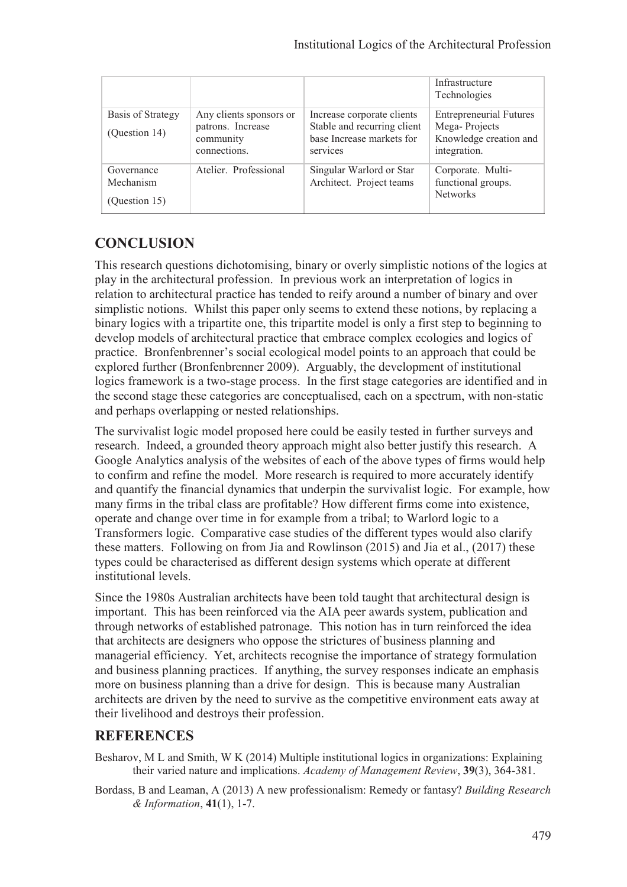|                                          |                                                                           |                                                                                                    | Infrastructure<br>Technologies                                                            |
|------------------------------------------|---------------------------------------------------------------------------|----------------------------------------------------------------------------------------------------|-------------------------------------------------------------------------------------------|
| Basis of Strategy<br>(Question 14)       | Any clients sponsors or<br>patrons. Increase<br>community<br>connections. | Increase corporate clients<br>Stable and recurring client<br>base Increase markets for<br>services | <b>Entrepreneurial Futures</b><br>Mega-Projects<br>Knowledge creation and<br>integration. |
| Governance<br>Mechanism<br>(Question 15) | Atelier. Professional                                                     | Singular Warlord or Star<br>Architect. Project teams                                               | Corporate. Multi-<br>functional groups.<br><b>Networks</b>                                |

## **CONCLUSION**

This research questions dichotomising, binary or overly simplistic notions of the logics at play in the architectural profession. In previous work an interpretation of logics in relation to architectural practice has tended to reify around a number of binary and over simplistic notions. Whilst this paper only seems to extend these notions, by replacing a binary logics with a tripartite one, this tripartite model is only a first step to beginning to develop models of architectural practice that embrace complex ecologies and logics of practice. Bronfenbrenner's social ecological model points to an approach that could be explored further (Bronfenbrenner 2009). Arguably, the development of institutional logics framework is a two-stage process. In the first stage categories are identified and in the second stage these categories are conceptualised, each on a spectrum, with non-static and perhaps overlapping or nested relationships.

The survivalist logic model proposed here could be easily tested in further surveys and research. Indeed, a grounded theory approach might also better justify this research. A Google Analytics analysis of the websites of each of the above types of firms would help to confirm and refine the model. More research is required to more accurately identify and quantify the financial dynamics that underpin the survivalist logic. For example, how many firms in the tribal class are profitable? How different firms come into existence, operate and change over time in for example from a tribal; to Warlord logic to a Transformers logic. Comparative case studies of the different types would also clarify these matters. Following on from Jia and Rowlinson (2015) and Jia et al., (2017) these types could be characterised as different design systems which operate at different institutional levels.

Since the 1980s Australian architects have been told taught that architectural design is important. This has been reinforced via the AIA peer awards system, publication and through networks of established patronage. This notion has in turn reinforced the idea that architects are designers who oppose the strictures of business planning and managerial efficiency. Yet, architects recognise the importance of strategy formulation and business planning practices. If anything, the survey responses indicate an emphasis more on business planning than a drive for design. This is because many Australian architects are driven by the need to survive as the competitive environment eats away at their livelihood and destroys their profession.

### **REFERENCES**

- Besharov, M L and Smith, W K (2014) Multiple institutional logics in organizations: Explaining their varied nature and implications. *Academy of Management Review*, **39**(3), 364-381.
- Bordass, B and Leaman, A (2013) A new professionalism: Remedy or fantasy? *Building Research & Information*, **41**(1), 1-7.